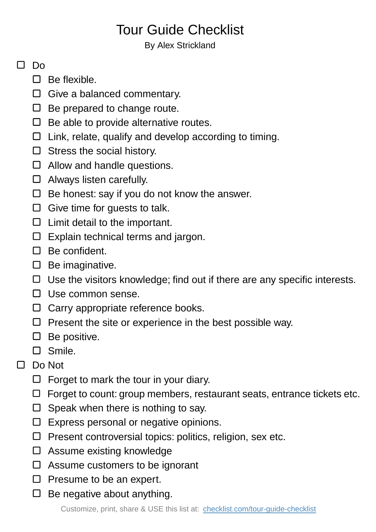## Tour Guide Checklist

## By Alex Strickland

## $\Box$  Do

- $\Box$  Be flexible.
- Give a balanced commentary.
- $\Box$  Be prepared to change route.
- $\Box$  Be able to provide alternative routes.
- $\Box$  Link, relate, qualify and develop according to timing.
- $\square$  Stress the social history.
- $\Box$  Allow and handle questions.
- □ Always listen carefully.
- $\Box$  Be honest: say if you do not know the answer.
- $\Box$  Give time for guests to talk.
- $\Box$  Limit detail to the important.
- $\Box$  Explain technical terms and jargon.
- $\Box$  Be confident.
- $\square$  Be imaginative.
- $\Box$  Use the visitors knowledge; find out if there are any specific interests.
- $\Box$  Use common sense.
- $\Box$  Carry appropriate reference books.
- $\Box$  Present the site or experience in the best possible way.
- $\square$  Be positive.
- Smile.
- Do Not  $\Box$ 
	- $\Box$  Forget to mark the tour in your diary.
	- $\Box$  Forget to count: group members, restaurant seats, entrance tickets etc.
	- $\Box$  Speak when there is nothing to say.
	- $\square$  Express personal or negative opinions.
	- $\Box$  Present controversial topics: politics, religion, sex etc.
	- $\square$  Assume existing knowledge
	- $\Box$  Assume customers to be ignorant
	- $\Box$  Presume to be an expert.
	- $\Box$  Be negative about anything.

Customize, print, share & USE this list at: [checklist.com/tour-guide-checklist](https://checklist.com/tour-guide-checklist)